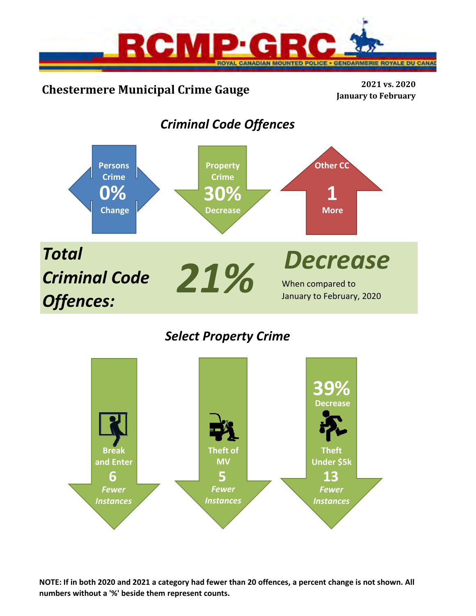



*Select Property Crime*



**NOTE: If in both 2020 and 2021 a category had fewer than 20 offences, a percent change is not shown. All numbers without a '%' beside them represent counts.**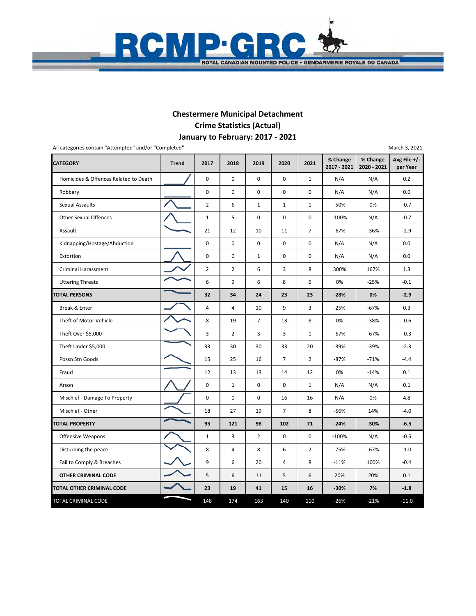

### **January to February: 2017 ‐ 2021 Chestermere Municipal Detachment Crime Statistics (Actual)**

**CATEGORY Trend 2017 2018 2019 2020 2021 % Change 2017 ‐ 2021 % Change 2020 ‐ 2021 Avg File +/‐ per Year** Homicides & Offences Related to Death **1** 0 0 0 0 0 0 1 N/A N/A 0.2 Robbery 0 0 0 0 0 N/A N/A 0.0 Sexual Assaults 2 6 1 1 1 -50% 0% 1 -0.7 Other Sexual Offences 1 1 5 0 0 0 0 100% N/A -0.7 Assault 21 21 12 10 11 7 67% -36% -2.9 Kidnapping/Hostage/Abduction | 0 0 0 0 0 0 N/A N/A 0.0 Extortion 0 0 1 0 0 N/A N/A 0.0 Criminal Harassment 1.3 Uttering Threats 6 9 6 8 6 0% ‐25% ‐0.1 **TOTAL PERSONS 32** 34 24 23 23 -28% 0% -2.9 Break & Enter  $\begin{vmatrix} - & 1 & 4 & 4 & 10 & 9 & 3 & -25\% & -67\% & 0.3 \end{vmatrix}$  Theft of Motor Vehicle 8 19 7 13 8 0% ‐38% ‐0.6 Theft Over \$5,000 3 | 2 | 3 | 3 | 1 | -67% | -67% | -0.3 Theft Under \$5,000 **33** 30 30 30 30 33 30 39% **-39%** -2.3 Possn Stn Goods **15 25 16 7 2 1** -87% –71% –4.4 1.0 1.4% [12 | 12 | 13 | 13 | 14 | 12 | 006 | 1.4% | 0.1 Arson 0 1 0 0 1 N/A N/A 0.1 Mischief - Damage To Property | / 0 0 0 0 16 16 N/A 0 % 4.8 Mischief - Other 18 27 | 18 | 27 | 19 | 7 | 8 | -56% | 14% | -4.0 **TOTAL PROPERTY 93 121 98 102 71 ‐24% ‐30% ‐6.3** Offensive Weapons 1 2 3 2 0 0 -100% N/A -0.5 Disturbing the peace 8 8 2 4 8 6 2  $-75\%$  -1.0 Fail to Comply & Breaches 9 6 20 4 8 ‐11% 100% ‐0.4  **OTHER CRIMINAL CODE** 5 6 11 5 6 20% 20% 0.1 **TOTAL OTHER CRIMINAL CODE**  $\begin{vmatrix} 23 & 19 & 41 & 15 & 16 & 30\% & 7\% & 7\% & 41 & 6\end{vmatrix}$ TOTAL CRIMINAL CODE 148 174 163 140 110 -26% -21% -11.0 All categories contain "Attempted" and/or "Completed" March 3, 2021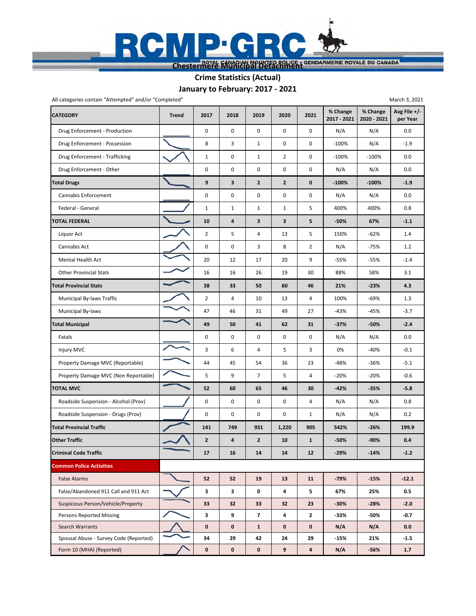

# **January to February: 2017 ‐ 2021 Crime Statistics (Actual)**

| All categories contain "Attempted" and/or "Completed" |              |                |             |                |                |                |                         |                         | March 3, 2021            |
|-------------------------------------------------------|--------------|----------------|-------------|----------------|----------------|----------------|-------------------------|-------------------------|--------------------------|
| <b>CATEGORY</b>                                       | <b>Trend</b> | 2017           | 2018        | 2019           | 2020           | 2021           | % Change<br>2017 - 2021 | % Change<br>2020 - 2021 | Avg File +/-<br>per Year |
| Drug Enforcement - Production                         |              | $\mathbf 0$    | $\mathbf 0$ | $\mathbf 0$    | 0              | 0              | N/A                     | N/A                     | 0.0                      |
| Drug Enforcement - Possession                         |              | 8              | 3           | $\mathbf{1}$   | 0              | 0              | $-100%$                 | N/A                     | $-1.9$                   |
| Drug Enforcement - Trafficking                        |              | $\mathbf 1$    | 0           | $\mathbf{1}$   | $\overline{2}$ | 0              | $-100%$                 | $-100%$                 | 0.0                      |
| Drug Enforcement - Other                              |              | 0              | 0           | 0              | 0              | 0              | N/A                     | N/A                     | 0.0                      |
| <b>Total Drugs</b>                                    |              | 9              | 3           | $\overline{2}$ | $\overline{2}$ | 0              | $-100%$                 | $-100%$                 | $-1.9$                   |
| Cannabis Enforcement                                  |              | 0              | 0           | 0              | 0              | 0              | N/A                     | N/A                     | 0.0                      |
| Federal - General                                     |              | $\mathbf 1$    | 1           | $\mathbf{1}$   | $1\,$          | 5              | 400%                    | 400%                    | 0.8                      |
| <b>FOTAL FEDERAL</b>                                  |              | 10             | 4           | 3              | 3              | 5              | -50%                    | 67%                     | $-1.1$                   |
| Liquor Act                                            |              | $\overline{2}$ | 5           | 4              | 13             | 5              | 150%                    | $-62%$                  | 1.4                      |
| Cannabis Act                                          |              | 0              | 0           | 3              | 8              | $\overline{2}$ | N/A                     | $-75%$                  | 1.2                      |
| Mental Health Act                                     |              | 20             | 12          | 17             | 20             | 9              | -55%                    | $-55%$                  | $-1.4$                   |
| <b>Other Provincial Stats</b>                         |              | 16             | 16          | 26             | 19             | 30             | 88%                     | 58%                     | 3.1                      |
| <b>Fotal Provincial Stats</b>                         |              | 38             | 33          | 50             | 60             | 46             | 21%                     | $-23%$                  | 4.3                      |
| Municipal By-laws Traffic                             |              | $\overline{2}$ | 4           | 10             | 13             | 4              | 100%                    | $-69%$                  | 1.3                      |
| Municipal By-laws                                     |              | 47             | 46          | 31             | 49             | 27             | -43%                    | $-45%$                  | $-3.7$                   |
| <b>Total Municipal</b>                                |              | 49             | 50          | 41             | 62             | 31             | $-37%$                  | $-50%$                  | $-2.4$                   |
| Fatals                                                |              | 0              | 0           | 0              | 0              | 0              | N/A                     | N/A                     | 0.0                      |
| Injury MVC                                            |              | 3              | 6           | 4              | 5              | 3              | 0%                      | $-40%$                  | $-0.1$                   |
| Property Damage MVC (Reportable)                      |              | 44             | 45          | 54             | 36             | 23             | -48%                    | $-36%$                  | $-5.1$                   |
| Property Damage MVC (Non Reportable)                  |              | 5              | 9           | $\overline{7}$ | 5              | 4              | $-20%$                  | $-20%$                  | $-0.6$                   |
| <b>TOTAL MVC</b>                                      |              | 52             | 60          | 65             | 46             | 30             | $-42%$                  | $-35%$                  | $-5.8$                   |
| Roadside Suspension - Alcohol (Prov)                  |              | 0              | 0           | 0              | 0              | $\overline{4}$ | N/A                     | N/A                     | 0.8                      |
| Roadside Suspension - Drugs (Prov)                    |              | 0              | 0           | 0              | 0              | $\mathbf{1}$   | N/A                     | N/A                     | 0.2                      |
| <b>Total Provincial Traffic</b>                       |              | 141            | 749         | 931            | 1,220          | 905            | 542%                    | $-26%$                  | 199.9                    |
| <b>Other Traffic</b>                                  |              | $\overline{2}$ | 4           | $\overline{2}$ | 10             | $\mathbf{1}$   | $-50%$                  | -90%                    | 0.4                      |
| <b>Criminal Code Traffic</b>                          |              | 17             | 16          | 14             | 14             | 12             | $-29%$                  | $-14%$                  | $-1.2$                   |
| <b>Common Police Activities</b>                       |              |                |             |                |                |                |                         |                         |                          |
| <b>False Alarms</b>                                   |              | 52             | 52          | 19             | 13             | 11             | -79%                    | $-15%$                  | $-12.1$                  |
| False/Abandoned 911 Call and 911 Act                  |              | 3              | 3           | 0              | 4              | 5              | 67%                     | 25%                     | 0.5                      |
| Suspicious Person/Vehicle/Property                    |              | 33             | 32          | 33             | 32             | 23             | $-30%$                  | $-28%$                  | $-2.0$                   |
| Persons Reported Missing                              |              | 3              | 9           | $\overline{7}$ | 4              | 2              | -33%                    | -50%                    | $-0.7$                   |
| Search Warrants                                       |              | 0              | $\mathbf 0$ | $\mathbf{1}$   | $\mathbf 0$    | 0              | N/A                     | N/A                     | 0.0                      |
| Spousal Abuse - Survey Code (Reported)                |              | 34             | 29          | 42             | 24             | 29             | -15%                    | 21%                     | $-1.5$                   |
| Form 10 (MHA) (Reported)                              |              | 0              | $\mathbf 0$ | $\mathbf 0$    | 9              | 4              | N/A                     | $-56%$                  | 1.7                      |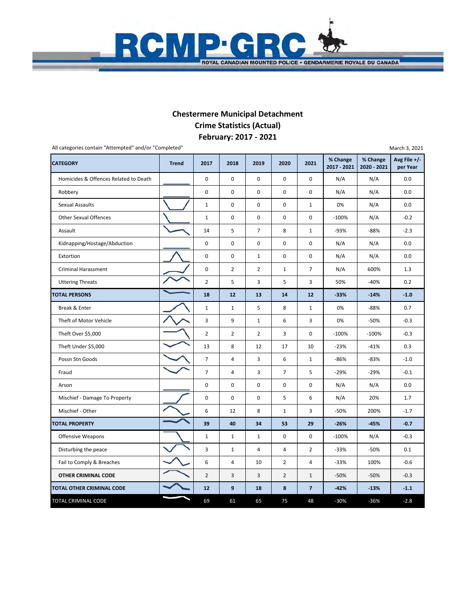

## **February: 2017 ‐ 2021 Chestermere Municipal Detachment Crime Statistics (Actual)**

| All categories contain "Attempted" and/or "Completed" |              |                |                |                |                         |                |                         |                         | March 3, 2021            |
|-------------------------------------------------------|--------------|----------------|----------------|----------------|-------------------------|----------------|-------------------------|-------------------------|--------------------------|
| <b>CATEGORY</b>                                       | <b>Trend</b> | 2017           | 2018           | 2019           | 2020                    | 2021           | % Change<br>2017 - 2021 | % Change<br>2020 - 2021 | Avg File +/-<br>per Year |
| Homicides & Offences Related to Death                 |              | $\pmb{0}$      | $\mathbf 0$    | $\mathbf 0$    | $\mathbf 0$             | $\mathbf 0$    | N/A                     | N/A                     | 0.0                      |
| Robbery                                               |              | $\pmb{0}$      | 0              | $\mathsf 0$    | $\pmb{0}$               | $\pmb{0}$      | N/A                     | N/A                     | 0.0                      |
| <b>Sexual Assaults</b>                                |              | $\mathbf{1}$   | $\pmb{0}$      | $\mathbf 0$    | 0                       | $\mathbf{1}$   | 0%                      | N/A                     | 0.0                      |
| <b>Other Sexual Offences</b>                          |              | $\mathbf 1$    | $\pmb{0}$      | $\mathbf 0$    | $\mathbf 0$             | $\pmb{0}$      | $-100%$                 | N/A                     | $-0.2$                   |
| Assault                                               |              | 14             | 5              | $\overline{7}$ | 8                       | $\mathbf{1}$   | $-93%$                  | $-88%$                  | $-2.3$                   |
| Kidnapping/Hostage/Abduction                          |              | $\pmb{0}$      | $\pmb{0}$      | $\pmb{0}$      | $\pmb{0}$               | 0              | N/A                     | N/A                     | 0.0                      |
| Extortion                                             |              | $\mathbf 0$    | $\mathbf 0$    | $\mathbf{1}$   | $\mathbf 0$             | $\mathbf 0$    | N/A                     | N/A                     | 0.0                      |
| <b>Criminal Harassment</b>                            |              | $\mathbf 0$    | $\overline{2}$ | $\overline{2}$ | $\mathbf 1$             | $\overline{7}$ | N/A                     | 600%                    | 1.3                      |
| <b>Uttering Threats</b>                               |              | $\overline{2}$ | 5              | 3              | 5                       | 3              | 50%                     | $-40%$                  | 0.2                      |
| <b>TOTAL PERSONS</b>                                  |              | 18             | 12             | 13             | 14                      | 12             | $-33%$                  | $-14%$                  | $-1.0$                   |
| Break & Enter                                         |              | $\mathbf 1$    | $\mathbf{1}$   | 5              | 8                       | $\mathbf{1}$   | 0%                      | $-88%$                  | 0.7                      |
| Theft of Motor Vehicle                                |              | 3              | 9              | $\mathbf{1}$   | 6                       | 3              | 0%                      | -50%                    | $-0.3$                   |
| Theft Over \$5,000                                    |              | $\overline{2}$ | $\overline{2}$ | $\overline{2}$ | 3                       | 0              | $-100%$                 | $-100%$                 | $-0.3$                   |
| Theft Under \$5,000                                   |              | 13             | 8              | 12             | 17                      | 10             | $-23%$                  | $-41%$                  | 0.3                      |
| Possn Stn Goods                                       |              | $\overline{7}$ | 4              | 3              | 6                       | $\mathbf{1}$   | $-86%$                  | $-83%$                  | $-1.0$                   |
| Fraud                                                 |              | $\overline{7}$ | $\overline{4}$ | 3              | $\overline{7}$          | 5              | $-29%$                  | $-29%$                  | $-0.1$                   |
| Arson                                                 |              | $\pmb{0}$      | $\pmb{0}$      | $\mathbf 0$    | $\pmb{0}$               | 0              | N/A                     | N/A                     | 0.0                      |
| Mischief - Damage To Property                         |              | $\pmb{0}$      | $\pmb{0}$      | $\mathbf 0$    | 5                       | 6              | N/A                     | 20%                     | 1.7                      |
| Mischief - Other                                      |              | 6              | 12             | 8              | $\mathbf{1}$            | 3              | $-50%$                  | 200%                    | $-1.7$                   |
| <b>TOTAL PROPERTY</b>                                 |              | 39             | 40             | 34             | 53                      | 29             | $-26%$                  | $-45%$                  | $-0.7$                   |
| <b>Offensive Weapons</b>                              |              | $\mathbf 1$    | $\mathbf 1$    | 1              | $\mathbf 0$             | $\mathbf 0$    | $-100%$                 | N/A                     | $-0.3$                   |
| Disturbing the peace                                  |              | 3              | $\mathbf{1}$   | 4              | $\overline{\mathbf{4}}$ | $\overline{2}$ | $-33%$                  | $-50%$                  | 0.1                      |
| Fail to Comply & Breaches                             |              | 6              | 4              | 10             | $\overline{2}$          | $\overline{4}$ | $-33%$                  | 100%                    | $-0.6$                   |
| OTHER CRIMINAL CODE                                   |              | $\overline{2}$ | 3              | 3              | $\overline{2}$          | $\mathbf{1}$   | $-50%$                  | $-50%$                  | $-0.3$                   |
| TOTAL OTHER CRIMINAL CODE                             |              | 12             | 9              | 18             | 8                       | $\overline{7}$ | $-42%$                  | $-13%$                  | $-1.1$                   |
| TOTAL CRIMINAL CODE                                   |              | 69             | 61             | 65             | 75                      | 48             | $-30%$                  | $-36%$                  | $-2.8$                   |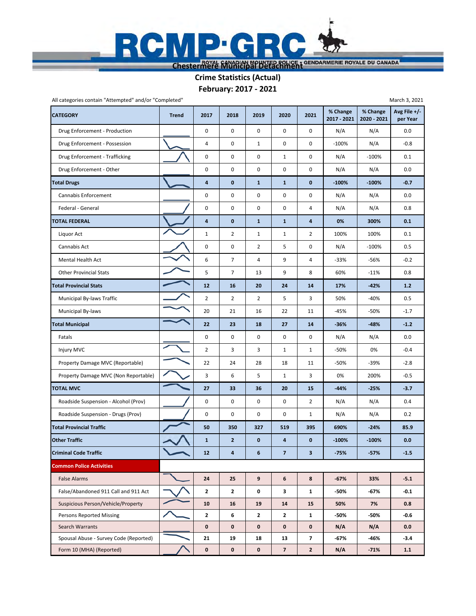

**February: 2017 ‐ 2021 Crime Statistics (Actual)**

| All categories contain "Attempted" and/or "Completed" |              |                         |                |              |                         |                |                         |                         | March 3, 2021              |
|-------------------------------------------------------|--------------|-------------------------|----------------|--------------|-------------------------|----------------|-------------------------|-------------------------|----------------------------|
| <b>CATEGORY</b>                                       | <b>Trend</b> | 2017                    | 2018           | 2019         | 2020                    | 2021           | % Change<br>2017 - 2021 | % Change<br>2020 - 2021 | Avg File $+/-$<br>per Year |
| Drug Enforcement - Production                         |              | 0                       | 0              | 0            | 0                       | 0              | N/A                     | N/A                     | 0.0                        |
| Drug Enforcement - Possession                         |              | $\sqrt{4}$              | 0              | $\mathbf{1}$ | 0                       | 0              | -100%                   | N/A                     | $-0.8$                     |
| Drug Enforcement - Trafficking                        |              | 0                       | 0              | 0            | $\mathbf{1}$            | 0              | N/A                     | $-100%$                 | 0.1                        |
| Drug Enforcement - Other                              |              | $\pmb{0}$               | 0              | 0            | 0                       | 0              | N/A                     | N/A                     | 0.0                        |
| <b>Total Drugs</b>                                    |              | 4                       | 0              | $\mathbf{1}$ | $\mathbf{1}$            | 0              | $-100%$                 | $-100%$                 | $-0.7$                     |
| Cannabis Enforcement                                  |              | $\mathbf 0$             | 0              | 0            | 0                       | 0              | N/A                     | N/A                     | 0.0                        |
| Federal - General                                     |              | $\pmb{0}$               | 0              | 0            | 0                       | $\overline{4}$ | N/A                     | N/A                     | 0.8                        |
| <b>TOTAL FEDERAL</b>                                  |              | $\overline{\mathbf{4}}$ | $\bf{0}$       | $\mathbf{1}$ | $\mathbf{1}$            | 4              | 0%                      | 300%                    | 0.1                        |
| Liquor Act                                            |              | $\mathbf 1$             | $\overline{2}$ | $\mathbf{1}$ | $\mathbf{1}$            | $\overline{2}$ | 100%                    | 100%                    | 0.1                        |
| Cannabis Act                                          |              | $\mathbf 0$             | 0              | 2            | 5                       | 0              | N/A                     | $-100%$                 | 0.5                        |
| Mental Health Act                                     |              | 6                       | $\overline{7}$ | 4            | 9                       | 4              | $-33%$                  | $-56%$                  | $-0.2$                     |
| <b>Other Provincial Stats</b>                         |              | 5                       | $\overline{7}$ | 13           | 9                       | 8              | 60%                     | $-11%$                  | 0.8                        |
| <b>Total Provincial Stats</b>                         |              | 12                      | 16             | 20           | 24                      | 14             | 17%                     | $-42%$                  | $1.2$                      |
| Municipal By-laws Traffic                             |              | $\overline{2}$          | 2              | 2            | 5                       | 3              | 50%                     | $-40%$                  | 0.5                        |
| Municipal By-laws                                     |              | 20                      | 21             | 16           | 22                      | 11             | $-45%$                  | -50%                    | $-1.7$                     |
| <b>Total Municipal</b>                                |              | 22                      | 23             | 18           | 27                      | 14             | $-36%$                  | $-48%$                  | $-1.2$                     |
| Fatals                                                |              | $\pmb{0}$               | 0              | 0            | 0                       | 0              | N/A                     | N/A                     | 0.0                        |
| Injury MVC                                            |              | $\overline{2}$          | 3              | 3            | $\mathbf 1$             | $\mathbf{1}$   | -50%                    | 0%                      | $-0.4$                     |
| Property Damage MVC (Reportable)                      |              | 22                      | 24             | 28           | 18                      | 11             | -50%                    | $-39%$                  | $-2.8$                     |
| Property Damage MVC (Non Reportable)                  |              | 3                       | 6              | 5            | $\mathbf{1}$            | 3              | 0%                      | 200%                    | $-0.5$                     |
| <b>TOTAL MVC</b>                                      |              | 27                      | 33             | 36           | 20                      | 15             | $-44%$                  | $-25%$                  | $-3.7$                     |
| Roadside Suspension - Alcohol (Prov)                  |              | $\pmb{0}$               | 0              | 0            | 0                       | $\overline{2}$ | N/A                     | N/A                     | 0.4                        |
| Roadside Suspension - Drugs (Prov)                    |              | $\mathbf 0$             | 0              | 0            | 0                       | 1              | N/A                     | N/A                     | 0.2                        |
| <b>Total Provincial Traffic</b>                       |              | 50                      | 350            | 327          | 519                     | 395            | 690%                    | $-24%$                  | 85.9                       |
| <b>Other Traffic</b>                                  |              | $\mathbf 1$             | $\overline{2}$ | $\mathbf 0$  | 4                       | $\mathbf 0$    | $-100%$                 | $-100%$                 | 0.0                        |
| <b>Criminal Code Traffic</b>                          |              | 12                      | 4              | 6            | $\overline{\mathbf{z}}$ | 3              | $-75%$                  | $-57%$                  | $-1.5$                     |
| <b>Common Police Activities</b>                       |              |                         |                |              |                         |                |                         |                         |                            |
| <b>False Alarms</b>                                   |              | 24                      | 25             | 9            | 6                       | 8              | $-67%$                  | 33%                     | $-5.1$                     |
| False/Abandoned 911 Call and 911 Act                  |              | $\mathbf{2}$            | 2              | 0            | 3                       | 1              | -50%                    | -67%                    | $-0.1$                     |
| Suspicious Person/Vehicle/Property                    |              | 10                      | 16             | 19           | 14                      | 15             | 50%                     | 7%                      | 0.8                        |
| <b>Persons Reported Missing</b>                       |              | $\overline{2}$          | 6              | $\mathbf{2}$ | $\mathbf{z}$            | $\mathbf{1}$   | -50%                    | -50%                    | $-0.6$                     |
| Search Warrants                                       |              | $\mathbf 0$             | 0              | 0            | 0                       | 0              | N/A                     | N/A                     | 0.0                        |
| Spousal Abuse - Survey Code (Reported)                |              | 21                      | 19             | 18           | 13                      | $\overline{7}$ | -67%                    | -46%                    | $-3.4$                     |
| Form 10 (MHA) (Reported)                              |              | $\pmb{0}$               | 0              | $\mathbf 0$  | $\overline{7}$          | $\overline{2}$ | N/A                     | $-71%$                  | 1.1                        |